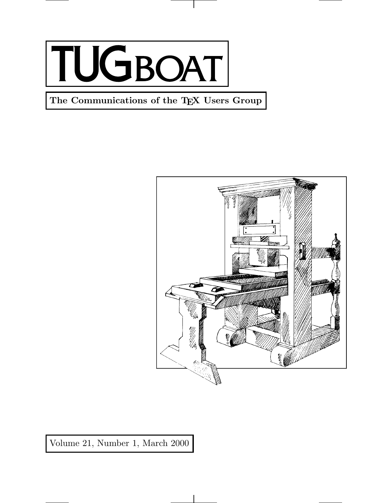

**The Communications of the TEX Users Group**



Volume 21, Number 1, March 2000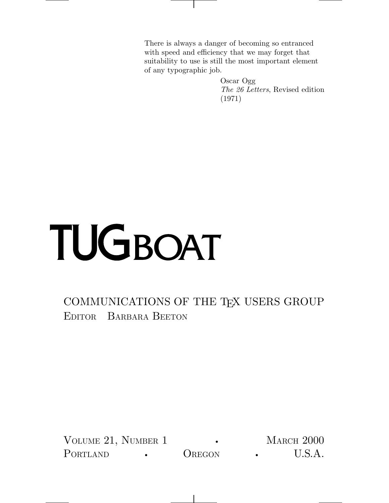There is always a danger of becoming so entranced with speed and efficiency that we may forget that suitability to use is still the most important element of any typographic job.

> Oscar Ogg *The 26 Letters*, Revised edition (1971)

## TUGBOAT

## COMMUNICATIONS OF THE TEX USERS GROUP EDITOR BARBARA BEETON

VOLUME 21, NUMBER 1 • MARCH 2000 PORTLAND • OREGON • U.S.A.